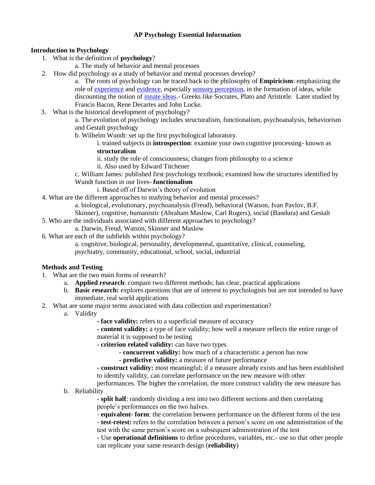# **AP Psychology Essential Information**

# **Introduction to Psychology**

- 1. What is the definition of **psychology**?
	- a. The study of behavior and mental processes
- 2. How did psychology as a study of behavior and mental processes develop?

a. The roots of psychology can be traced back to the philosophy of **Empiricism**: emphasizing the role of [experience](http://en.wikipedia.org/wiki/Experience) and [evidence,](http://en.wikipedia.org/wiki/Evidence) especially [sensory perception,](http://en.wikipedia.org/wiki/Sensory_perception) in the formation of ideas, while discounting the notion of [innate ideas.](http://en.wikipedia.org/wiki/Innate_idea)- Greeks like Socrates, Plato and Aristotle. Later studied by Francis Bacon, Rene Decartes and John Locke.

3. What is the historical development of psychology?

a. The evolution of psychology includes structuralism, functionalism, psychoanalysis, behaviorism and Gestalt psychology

b. Wilhelm Wundt: set up the first psychological laboratory.

i. trained subjects in **introspection**: examine your own cognitive processing- known as **structuralism**

ii. study the role of consciousness; changes from philosophy to a science

- ii. Also used by Edward Titchener
- c. William James: published first psychology textbook; examined how the structures identified by Wundt function in our lives- **functionalism**

i. Based off of Darwin's theory of evolution

4. What are the different approaches to studying behavior and mental processes?

a. biological, evolutionary, psychoanalysis (Freud), behavioral (Watson, Ivan Pavlov, B.F. Skinner), cognitive, humanistic (Abraham Maslow, Carl Rogers), social (Bandura) and Gestalt

- 5. Who are the individuals associated with different approaches to psychology?
	- a. Darwin, Freud, Watson, Skinner and Maslow
- 6. What are each of the subfields within psychology?

a. cognitive, biological, personality, developmental, quantitative, clinical, counseling, psychiatry, community, educational, school, social, industrial

# **Methods and Testing**

- 1. What are the two main forms of research?
	- a. **Applied research**: compare two different methods; has clear, practical applications
	- b. **Basic research:** explores questions that are of interest to psychologists but are not intended to have immediate, real world applications
- 2. What are some major terms associated with data collection and experimentation?
	- a. Validity
		- **- face validity:** refers to a superficial measure of accuracy

**- content validity:** a type of face validity; how well a measure reflects the entire range of material it is supposed to be testing

- **- criterion related validity:** can have two types
	- **- concurrent validity:** how much of a characteristic a person has now
	- **- predictive validity:** a measure of future performance

**- construct validity:** most meaningful; if a measure already exists and has been established to identify validity, can correlate performance on the new measure with other

performances. The higher the correlation, the more construct validity the new measure has b. Reliability

> - **split half**: randomly dividing a test into two different sections and then correlating people's performances on the two halves.

- **equivalent- form**: the correlation between performance on the different forms of the test

**- test-retest:** refers to the correlation between a person's score on one administration of the test with the same person's score on a subsequent administration of the test

**-** Use **operational definitions** to define procedures, variables, etc.- use so that other people can replicate your same research design (**reliability**)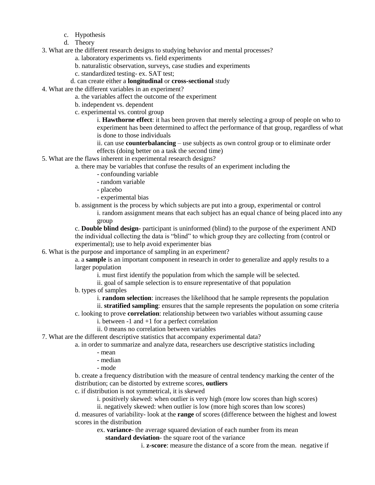- c. Hypothesis
- d. Theory
- 3. What are the different research designs to studying behavior and mental processes?
	- a. laboratory experiments vs. field experiments
	- b. naturalistic observation, surveys, case studies and experiments
	- c. standardized testing- ex. SAT test;

## d. can create either a **longitudinal** or **cross-sectional** study

- 4. What are the different variables in an experiment?
	- a. the variables affect the outcome of the experiment
		- b. independent vs. dependent
		- c. experimental vs. control group

i. **Hawthorne effect**: it has been proven that merely selecting a group of people on who to experiment has been determined to affect the performance of that group, regardless of what is done to those individuals

ii. can use **counterbalancing** – use subjects as own control group or to eliminate order effects (doing better on a task the second time)

- 5. What are the flaws inherent in experimental research designs?
	- a. there may be variables that confuse the results of an experiment including the
		- confounding variable
		- random variable
		- placebo
		- experimental bias
	- b. assignment is the process by which subjects are put into a group, experimental or control

i. random assignment means that each subject has an equal chance of being placed into any group

c. **Double blind design-** participant is uninformed (blind) to the purpose of the experiment AND the individual collecting the data is "blind" to which group they are collecting from (control or experimental); use to help avoid experimenter bias

6. What is the purpose and importance of sampling in an experiment?

a. a **sample** is an important component in research in order to generalize and apply results to a larger population

i. must first identify the population from which the sample will be selected.

ii. goal of sample selection is to ensure representative of that population

b. types of samples

i. **random selection**: increases the likelihood that he sample represents the population

ii. **stratified sampling**: ensures that the sample represents the population on some criteria

c. looking to prove **correlation**: relationship between two variables without assuming cause

- i. between -1 and +1 for a perfect correlation
- ii. 0 means no correlation between variables
- 7. What are the different descriptive statistics that accompany experimental data?

a. in order to summarize and analyze data, researchers use descriptive statistics including

- mean
- median
- mode

b. create a frequency distribution with the measure of central tendency marking the center of the distribution; can be distorted by extreme scores, **outliers**

c. if distribution is not symmetrical, it is skewed

i. positively skewed: when outlier is very high (more low scores than high scores)

ii. negatively skewed: when outlier is low (more high scores than low scores)

d. measures of variability- look at the **range** of scores (difference between the highest and lowest scores in the distribution

ex. **variance**- the average squared deviation of each number from its mean **standard deviation**- the square root of the variance

i. **z-score**: measure the distance of a score from the mean. negative if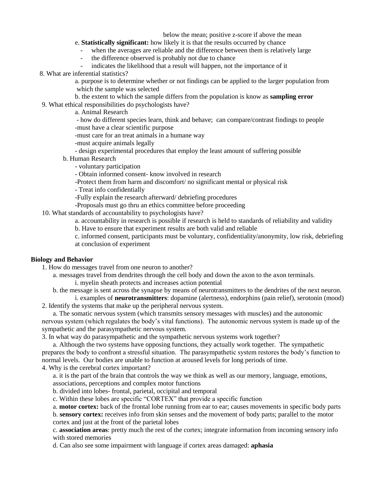below the mean; positive z-score if above the mean

e. **Statistically significant:** how likely it is that the results occurred by chance

- when the averages are reliable and the difference between them is relatively large

the difference observed is probably not due to chance

indicates the likelihood that a result will happen, not the importance of it

8. What are inferential statistics?

a. purpose is to determine whether or not findings can be applied to the larger population from which the sample was selected

b. the extent to which the sample differs from the population is know as **sampling error** 9. What ethical responsibilities do psychologists have?

a. Animal Research

 - how do different species learn, think and behave; can compare/contrast findings to people -must have a clear scientific purpose

-must care for an treat animals in a humane way

-must acquire animals legally

- design experimental procedures that employ the least amount of suffering possible

- b. Human Research
	- voluntary participation

- Obtain informed consent- know involved in research

-Protect them from harm and discomfort/ no significant mental or physical risk

- Treat info confidentially

-Fully explain the research afterward/ debriefing procedures

-Proposals must go thru an ethics committee before proceeding

10. What standards of accountability to psychologists have?

a. accountability in research is possible if research is held to standards of reliability and validity

b. Have to ensure that experiment results are both valid and reliable

c. informed consent, participants must be voluntary, confidentiality/anonymity, low risk, debriefing at conclusion of experiment

#### **Biology and Behavior**

1. How do messages travel from one neuron to another?

a. messages travel from dendrites through the cell body and down the axon to the axon terminals. i. myelin sheath protects and increases action potential

b. the message is sent across the synapse by means of neurotransmitters to the dendrites of the next neuron.

i. examples of **neurotransmitters**: dopamine (alertness), endorphins (pain relief), serotonin (mood) 2. Identify the systems that make up the peripheral nervous system.

a. The somatic nervous system (which transmits sensory messages with muscles) and the autonomic nervous system (which regulates the body's vital functions). The autonomic nervous system is made up of the sympathetic and the parasympathetic nervous system.

3. In what way do parasympathetic and the sympathetic nervous systems work together?

a. Although the two systems have opposing functions, they actually work together. The sympathetic prepares the body to confront a stressful situation. The parasympathetic system restores the body's function to normal levels. Our bodies are unable to function at aroused levels for long periods of time.

4. Why is the cerebral cortex important?

a. it is the part of the brain that controls the way we think as well as our memory, language, emotions, associations, perceptions and complex motor functions

b. divided into lobes- frontal, parietal, occipital and temporal

c. Within these lobes are specific "CORTEX" that provide a specific function

a. **motor cortex:** back of the frontal lobe running from ear to ear; causes movements in specific body parts

b. **sensory cortex:** receives info from skin senses and the movement of body parts; parallel to the motor cortex and just at the front of the parietal lobes

c. **association areas**: pretty much the rest of the cortex; integrate information from incoming sensory info with stored memories

d. Can also see some impairment with language if cortex areas damaged: **aphasia**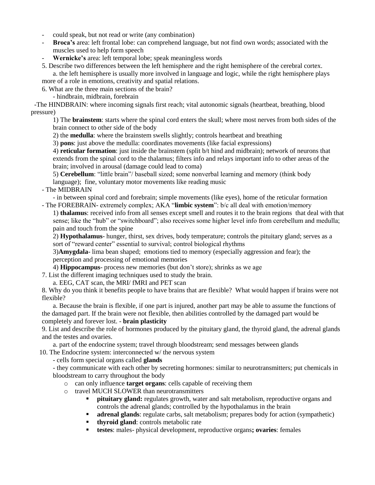- could speak, but not read or write (any combination)
- **Broca's** area: left frontal lobe: can comprehend language, but not find own words; associated with the muscles used to help form speech
- Wernicke's area: left temporal lobe; speak meaningless words
- 5. Describe two differences between the left hemisphere and the right hemisphere of the cerebral cortex. a. the left hemisphere is usually more involved in language and logic, while the right hemisphere plays

more of a role in emotions, creativity and spatial relations.

6. What are the three main sections of the brain?

- hindbrain, midbrain, forebrain

 -The HINDBRAIN: where incoming signals first reach; vital autonomic signals (heartbeat, breathing, blood pressure)

1) The **brainstem**: starts where the spinal cord enters the skull; where most nerves from both sides of the brain connect to other side of the body

2) the **medulla**: where the brainstem swells slightly; controls heartbeat and breathing

3) **pons**: just above the medulla: coordinates movements (like facial expressions)

4) **reticular formation**: just inside the brainstem (split b/t hind and midbrain); network of neurons that extends from the spinal cord to the thalamus; filters info and relays important info to other areas of the brain; involved in arousal (damage could lead to coma)

5) **Cerebellum**: "little brain"/ baseball sized; some nonverbal learning and memory (think body language); fine, voluntary motor movements like reading music

- The MIDBRAIN

- in between spinal cord and forebrain; simple movements (like eyes), home of the reticular formation - The FOREBRAIN- extremely complex; AKA "**limbic system**": b/c all deal with emotion/memory

1) **thalamus**: received info from all senses except smell and routes it to the brain regions that deal with that sense; like the "hub" or "switchboard"; also receives some higher level info from cerebellum and medulla; pain and touch from the spine

2) **Hypothalamus**- hunger, thirst, sex drives, body temperature; controls the pituitary gland; serves as a sort of "reward center" essential to survival; control biological rhythms

3)**Amygdala**- lima bean shaped; emotions tied to memory (especially aggression and fear); the perception and processing of emotional memories

4) **Hippocampus**- process new memories (but don't store); shrinks as we age

7. List the different imaging techniques used to study the brain.

a. EEG, CAT scan, the MRI/ fMRI and PET scan

8. Why do you think it benefits people to have brains that are flexible? What would happen if brains were not flexible?

a. Because the brain is flexible, if one part is injured, another part may be able to assume the functions of the damaged part. If the brain were not flexible, then abilities controlled by the damaged part would be completely and forever lost. - **brain plasticity**

9. List and describe the role of hormones produced by the pituitary gland, the thyroid gland, the adrenal glands and the testes and ovaries.

a. part of the endocrine system; travel through bloodstream; send messages between glands 10. The Endocrine system: interconnected w/ the nervous system

- cells form special organs called **glands**

- they communicate with each other by secreting hormones: similar to neurotransmitters; put chemicals in bloodstream to carry throughout the body

- o can only influence **target organs**: cells capable of receiving them
- o travel MUCH SLOWER than neurotransmitters
	- **pituitary gland:** regulates growth, water and salt metabolism, reproductive organs and controls the adrenal glands; controlled by the hypothalamus in the brain
	- **adrenal glands**: regulate carbs, salt metabolism; prepares body for action (sympathetic)
	- **thyroid gland**: controls metabolic rate
	- **testes**: males- physical development, reproductive organs**; ovaries**: females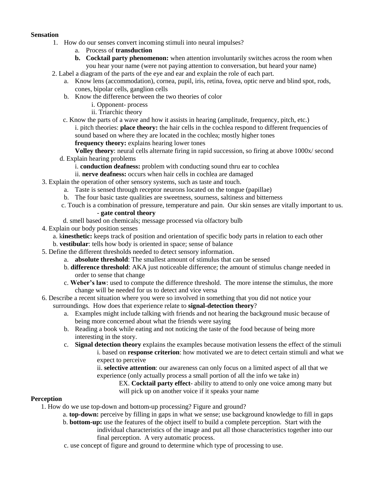#### **Sensation**

- 1. How do our senses convert incoming stimuli into neural impulses?
	- a. Process of **transduction**
	- **b. Cocktail party phenomenon:** when attention involuntarily switches across the room when you hear your name (were not paying attention to conversation, but heard your name)
- 2. Label a diagram of the parts of the eye and ear and explain the role of each part.
	- a. Know lens (accommodation), cornea, pupil, iris, retina, fovea, optic nerve and blind spot, rods, cones, bipolar cells, ganglion cells
	- b. Know the difference between the two theories of color
		- i. Opponent- process
		- ii. Triarchic theory
	- c. Know the parts of a wave and how it assists in hearing (amplitude, frequency, pitch, etc.)

i. pitch theories: **place theory:** the hair cells in the cochlea respond to different frequencies of sound based on where they are located in the cochlea; mostly higher tones

**frequency theory:** explains hearing lower tones

- **Volley theory**: neural cells alternate firing in rapid succession, so firing at above 1000x/ second
- d. Explain hearing problems
	- i. **conduction deafness:** problem with conducting sound thru ear to cochlea
	- ii. **nerve deafness:** occurs when hair cells in cochlea are damaged
- 3. Explain the operation of other sensory systems, such as taste and touch.
	- a. Taste is sensed through receptor neurons located on the tongue (papillae)
	- b. The four basic taste qualities are sweetness, sourness, saltiness and bitterness
	- c. Touch is a combination of pressure, temperature and pain. Our skin senses are vitally important to us. - **gate control theory**
	- d. smell based on chemicals; message processed via olfactory bulb
- 4. Explain our body position senses
	- a. k**inesthetic:** keeps track of position and orientation of specific body parts in relation to each other
	- b. **vestibular**: tells how body is oriented in space; sense of balance
- 5. Define the different thresholds needed to detect sensory information.
	- a. **absolute threshold**: The smallest amount of stimulus that can be sensed
		- b. **difference threshold**: AKA just noticeable difference; the amount of stimulus change needed in order to sense that change
		- c. **Weber's law**: used to compute the difference threshold. The more intense the stimulus, the more change will be needed for us to detect and vice versa
- 6. Describe a recent situation where you were so involved in something that you did not notice your surroundings. How does that experience relate to **signal-detection theory**?
	- a. Examples might include talking with friends and not hearing the background music because of being more concerned about what the friends were saying
	- b. Reading a book while eating and not noticing the taste of the food because of being more interesting in the story.
	- c. **Signal detection theory** explains the examples because motivation lessens the effect of the stimuli i. based on **response criterion**: how motivated we are to detect certain stimuli and what we expect to perceive

ii. **selective attention**: our awareness can only focus on a limited aspect of all that we experience (only actually process a small portion of all the info we take in)

EX. **Cocktail party effect**- ability to attend to only one voice among many but will pick up on another voice if it speaks your name

## **Perception**

1. How do we use top-down and bottom-up processing? Figure and ground?

- a. **top-down:** perceive by filling in gaps in what we sense; use background knowledge to fill in gaps
- b. **bottom-up:** use the features of the object itself to build a complete perception. Start with the individual characteristics of the image and put all those characteristics together into our final perception. A very automatic process.
- c. use concept of figure and ground to determine which type of processing to use.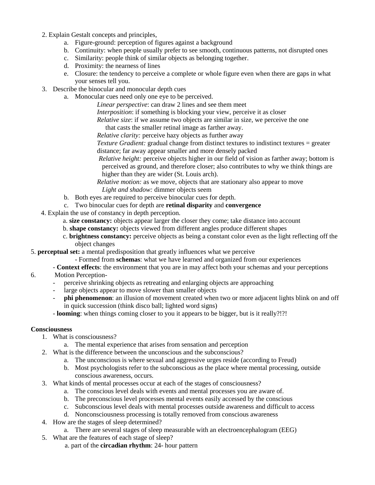- 2. Explain Gestalt concepts and principles,
	- a. Figure-ground: perception of figures against a background
	- b. Continuity: when people usually prefer to see smooth, continuous patterns, not disrupted ones
	- c. Similarity: people think of similar objects as belonging together.
	- d. Proximity: the nearness of lines
	- e. Closure: the tendency to perceive a complete or whole figure even when there are gaps in what your senses tell you.
- 3. Describe the binocular and monocular depth cues
	- a. Monocular cues need only one eye to be perceived.

*Linear perspective*: can draw 2 lines and see them meet

*Interposition*: if something is blocking your view, perceive it as closer

*Relative size*: if we assume two objects are similar in size, we perceive the one

that casts the smaller retinal image as farther away.

*Relative clarity:* perceive hazy objects as further away

*Texture Gradient:* gradual change from distinct textures to indistinct textures = greater distance; far away appear smaller and more densely packed

 *Relative height:* perceive objects higher in our field of vision as farther away; bottom is perceived as ground, and therefore closer; also contributes to why we think things are higher than they are wider (St. Louis arch).

 *Relative motion:* as we move, objects that are stationary also appear to move  *Light and shadow:* dimmer objects seem

- b. Both eyes are required to perceive binocular cues for depth.
- c. Two binocular cues for depth are **retinal disparity** and **convergence**
- 4. Explain the use of constancy in depth perception.
	- a. **size constancy:** objects appear larger the closer they come; take distance into account
	- b. **shape constancy:** objects viewed from different angles produce different shapes
	- c. **brightness constancy:** perceive objects as being a constant color even as the light reflecting off the object changes
- 5. **perceptual set:** a mental predisposition that greatly influences what we perceive
	- Formed from **schemas**: what we have learned and organized from our experiences
	- **Context effects**: the environment that you are in may affect both your schemas and your perceptions
- 6. Motion Perception-
	- perceive shrinking objects as retreating and enlarging objects are approaching
	- large objects appear to move slower than smaller objects
	- **phi phenomenon**: an illusion of movement created when two or more adjacent lights blink on and off in quick succession (think disco ball; lighted word signs)
	- **looming**: when things coming closer to you it appears to be bigger, but is it really?!?!

#### **Consciousness**

- 1. What is consciousness?
	- a. The mental experience that arises from sensation and perception
- 2. What is the difference between the unconscious and the subconscious?
	- a. The unconscious is where sexual and aggressive urges reside (according to Freud)
		- b. Most psychologists refer to the subconscious as the place where mental processing, outside conscious awareness, occurs.
- 3. What kinds of mental processes occur at each of the stages of consciousness?
	- a. The conscious level deals with events and mental processes you are aware of.
	- b. The preconscious level processes mental events easily accessed by the conscious
	- c. Subconscious level deals with mental processes outside awareness and difficult to access
	- d. Nonconsciousness processing is totally removed from conscious awareness
- 4. How are the stages of sleep determined?
	- a. There are several stages of sleep measurable with an electroencephalogram (EEG)
- 5. What are the features of each stage of sleep?
	- a. part of the **circadian rhythm**: 24- hour pattern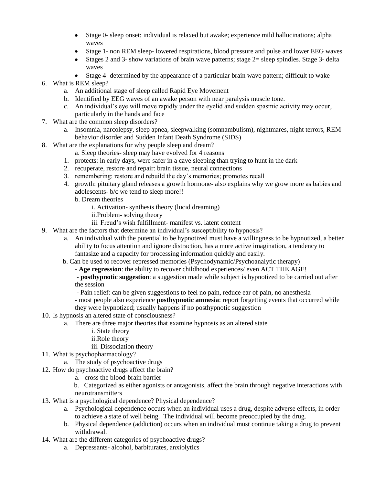- Stage 0- sleep onset: individual is relaxed but awake; experience mild hallucinations; alpha waves
- Stage 1- non REM sleep- lowered respirations, blood pressure and pulse and lower EEG waves
- Stages 2 and 3- show variations of brain wave patterns; stage  $2 =$  sleep spindles. Stage 3- delta waves
- Stage 4- determined by the appearance of a particular brain wave pattern; difficult to wake
- 6. What is REM sleep?
	- a. An additional stage of sleep called Rapid Eye Movement
	- b. Identified by EEG waves of an awake person with near paralysis muscle tone.
	- c. An individual's eye will move rapidly under the eyelid and sudden spasmic activity may occur, particularly in the hands and face
- 7. What are the common sleep disorders?
	- a. Insomnia, narcolepsy, sleep apnea, sleepwalking (somnambulism), nightmares, night terrors, REM behavior disorder and Sudden Infant Death Syndrome (SIDS)
- 8. What are the explanations for why people sleep and dream?
	- a. Sleep theories- sleep may have evolved for 4 reasons
	- 1. protects: in early days, were safer in a cave sleeping than trying to hunt in the dark
	- 2. recuperate, restore and repair: brain tissue, neural connections
	- 3. remembering: restore and rebuild the day's memories; promotes recall
	- 4. growth: pituitary gland releases a growth hormone- also explains why we grow more as babies and adolescents- b/c we tend to sleep more!!
		- b. Dream theories
			- i. Activation- synthesis theory (lucid dreaming)
			- ii.Problem- solving theory
			- iii. Freud's wish fulfillment- manifest vs. latent content
- 9. What are the factors that determine an individual's susceptibility to hypnosis?
	- a. An individual with the potential to be hypnotized must have a willingness to be hypnotized, a better ability to focus attention and ignore distraction, has a more active imagination, a tendency to fantasize and a capacity for processing information quickly and easily.
	- b. Can be used to recover repressed memories (Psychodynamic/Psychoanalytic therapy)
		- **Age regression**: the ability to recover childhood experiences/ even ACT THE AGE!
		- **posthypnotic suggestion**: a suggestion made while subject is hypnotized to be carried out after the session
		- Pain relief: can be given suggestions to feel no pain, reduce ear of pain, no anesthesia
		- most people also experience **posthypnotic amnesia**: report forgetting events that occurred while they were hypnotized; usually happens if no posthypnotic suggestion
- 10. Is hypnosis an altered state of consciousness?
	- a. There are three major theories that examine hypnosis as an altered state
		- i. State theory
		- ii.Role theory
		- iii. Dissociation theory
- 11. What is psychopharmacology?
	- a. The study of psychoactive drugs
- 12. How do psychoactive drugs affect the brain?
	- a. cross the blood-brain barrier
	- b. Categorized as either agonists or antagonists, affect the brain through negative interactions with neurotransmitters
- 13. What is a psychological dependence? Physical dependence?
	- a. Psychological dependence occurs when an individual uses a drug, despite adverse effects, in order to achieve a state of well being. The individual will become preoccupied by the drug.
	- b. Physical dependence (addiction) occurs when an individual must continue taking a drug to prevent withdrawal.
- 14. What are the different categories of psychoactive drugs?
	- a. Depressants- alcohol, barbiturates, anxiolytics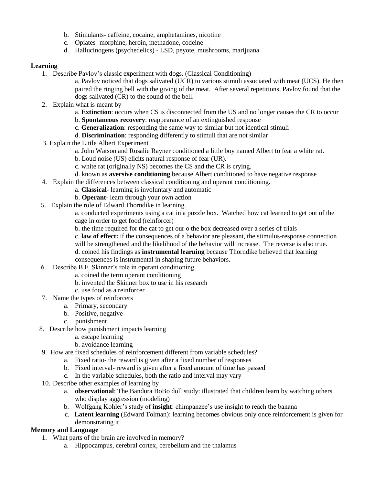- b. Stimulants- caffeine, cocaine, amphetamines, nicotine
- c. Opiates- morphine, heroin, methadone, codeine
- d. Hallucinogens (psychedelics) LSD, peyote, mushrooms, marijuana

# **Learning**

- 1. Describe Pavlov's classic experiment with dogs. (Classical Conditioning)
	- a. Pavlov noticed that dogs salivated (UCR) to various stimuli associated with meat (UCS). He then paired the ringing bell with the giving of the meat. After several repetitions, Pavlov found that the dogs salivated (CR) to the sound of the bell.
- 2. Explain what is meant by
	- a. **Extinction**: occurs when CS is disconnected from the US and no longer causes the CR to occur
	- b. **Spontaneous recovery**: reappearance of an extinguished response
	- c. **Generalization**: responding the same way to similar but not identical stimuli
	- d. **Discrimination**: responding differently to stimuli that are not similar
- 3. Explain the Little Albert Experiment
	- a. John Watson and Rosalie Rayner conditioned a little boy named Albert to fear a white rat.
	- b. Loud noise (US) elicits natural response of fear (UR).
	- c. white rat (originally NS) becomes the CS and the CR is crying.
	- d. known as **aversive conditioning** because Albert conditioned to have negative response
- 4. Explain the differences between classical conditioning and operant conditioning.
	- a. **Classical** learning is involuntary and automatic
	- b. **Operant** learn through your own action
- 5. Explain the role of Edward Thorndike in learning.

a. conducted experiments using a cat in a puzzle box. Watched how cat learned to get out of the cage in order to get food (reinforcer)

b. the time required for the cat to get our o the box decreased over a series of trials

c. **law of effect:** if the consequences of a behavior are pleasant, the stimulus-response connection will be strengthened and the likelihood of the behavior will increase. The reverse is also true. d. coined his findings as **instrumental learning** because Thorndike believed that learning consequences is instrumental in shaping future behaviors.

- 6. Describe B.F. Skinner's role in operant conditioning
	- a. coined the term operant conditioning
	- b. invented the Skinner box to use in his research
	- c. use food as a reinforcer
- 7. Name the types of reinforcers
	- a. Primary, secondary
	- b. Positive, negative
	- c. punishment
- 8. Describe how punishment impacts learning
	- a. escape learning
	- b. avoidance learning
- 9. How are fixed schedules of reinforcement different from variable schedules?
	- a. Fixed ratio- the reward is given after a fixed number of responses
		- b. Fixed interval- reward is given after a fixed amount of time has passed
		- c. In the variable schedules, both the ratio and interval may vary
- 10. Describe other examples of learning by
	- a. **observational**: The Bandura BoBo doll study: illustrated that children learn by watching others who display aggression (modeling)
	- b. Wolfgang Kohler's study of **insight**: chimpanzee's use insight to reach the banana
	- c. **Latent learning** (Edward Tolman): learning becomes obvious only once reinforcement is given for demonstrating it

## **Memory and Language**

- 1. What parts of the brain are involved in memory?
	- a. Hippocampus, cerebral cortex, cerebellum and the thalamus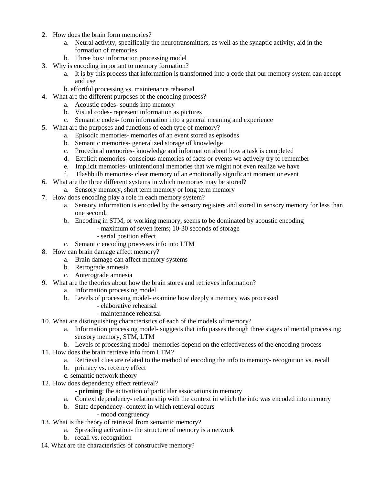- 2. How does the brain form memories?
	- a. Neural activity, specifically the neurotransmitters, as well as the synaptic activity, aid in the formation of memories
	- b. Three box/ information processing model
- 3. Why is encoding important to memory formation?
	- a. It is by this process that information is transformed into a code that our memory system can accept and use
	- b. effortful processing vs. maintenance rehearsal
- 4. What are the different purposes of the encoding process?
	- a. Acoustic codes- sounds into memory
	- b. Visual codes- represent information as pictures
	- c. Semantic codes- form information into a general meaning and experience
- 5. What are the purposes and functions of each type of memory?
	- a. Episodic memories- memories of an event stored as episodes
	- b. Semantic memories- generalized storage of knowledge
	- c. Procedural memories- knowledge and information about how a task is completed
	- d. Explicit memories- conscious memories of facts or events we actively try to remember
	- e. Implicit memories- unintentional memories that we might not even realize we have
	- f. Flashbulb memories- clear memory of an emotionally significant moment or event
- 6. What are the three different systems in which memories may be stored?
	- a. Sensory memory, short term memory or long term memory
- 7. How does encoding play a role in each memory system?
	- a. Sensory information is encoded by the sensory registers and stored in sensory memory for less than one second.
	- b. Encoding in STM, or working memory, seems to be dominated by acoustic encoding
		- maximum of seven items; 10-30 seconds of storage
		- serial position effect
	- c. Semantic encoding processes info into LTM
- 8. How can brain damage affect memory?
	- a. Brain damage can affect memory systems
	- b. Retrograde amnesia
	- c. Anterograde amnesia
- 9. What are the theories about how the brain stores and retrieves information?
	- a. Information processing model
	- b. Levels of processing model- examine how deeply a memory was processed
		- elaborative rehearsal
		- maintenance rehearsal
- 10. What are distinguishing characteristics of each of the models of memory?
	- a. Information processing model- suggests that info passes through three stages of mental processing: sensory memory, STM, LTM
	- b. Levels of processing model- memories depend on the effectiveness of the encoding process
- 11. How does the brain retrieve info from LTM?
	- a. Retrieval cues are related to the method of encoding the info to memory- recognition vs. recall
		- b. primacy vs. recency effect
		- c. semantic network theory
- 12. How does dependency effect retrieval?
	- **priming**: the activation of particular associations in memory
	- a. Context dependency- relationship with the context in which the info was encoded into memory
	- b. State dependency- context in which retrieval occurs
		- mood congruency
- 13. What is the theory of retrieval from semantic memory?
	- a. Spreading activation- the structure of memory is a network
	- b. recall vs. recognition
- 14. What are the characteristics of constructive memory?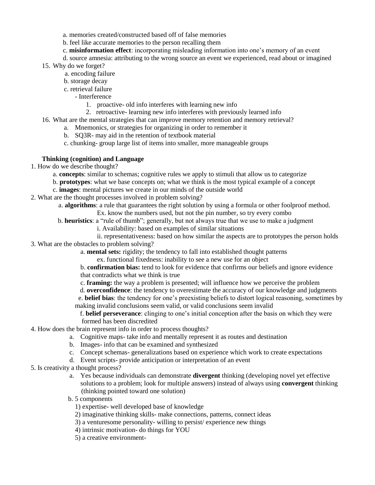a. memories created/constructed based off of false memories

b. feel like accurate memories to the person recalling them

c. **misinformation effect**: incorporating misleading information into one's memory of an event

d. source amnesia: attributing to the wrong source an event we experienced, read about or imagined

15. Why do we forget?

- a. encoding failure
- b. storage decay
- c. retrieval failure
	- Interference
		- 1. proactive- old info interferes with learning new info
		- 2. retroactive- learning new info interferes with previously learned info
- 16. What are the mental strategies that can improve memory retention and memory retrieval?
	- a. Mnemonics, or strategies for organizing in order to remember it
		- b. SQ3R- may aid in the retention of textbook material
		- c. chunking- group large list of items into smaller, more manageable groups

#### **Thinking (cognition) and Language**

- 1. How do we describe thought?
	- a. **concepts**: similar to schemas; cognitive rules we apply to stimuli that allow us to categorize
	- b. **prototypes**: what we base concepts on; what we think is the most typical example of a concept
	- c. **images**: mental pictures we create in our minds of the outside world
- 2. What are the thought processes involved in problem solving?
	- a. **algorithms**: a rule that guarantees the right solution by using a formula or other foolproof method.
		- Ex. know the numbers used, but not the pin number, so try every combo
	- b. **heuristics**: a "rule of thumb"; generally, but not always true that we use to make a judgment
		- i. Availability: based on examples of similar situations
- ii. representativeness: based on how similar the aspects are to prototypes the person holds 3. What are the obstacles to problem solving?

a. **mental sets:** rigidity; the tendency to fall into established thought patterns

ex. functional fixedness: inability to see a new use for an object

b. **confirmation bias:** tend to look for evidence that confirms our beliefs and ignore evidence that contradicts what we think is true

c. **framing:** the way a problem is presented; will influence how we perceive the problem

d. **overconfidence**: the tendency to overestimate the accuracy of our knowledge and judgments

 e. **belief bias**: the tendency for one's preexisting beliefs to distort logical reasoning, sometimes by making invalid conclusions seem valid, or valid conclusions seem invalid

 f. **belief perseverance**: clinging to one's initial conception after the basis on which they were formed has been discredited

- 4. How does the brain represent info in order to process thoughts?
	- a. Cognitive maps- take info and mentally represent it as routes and destination
	- b. Images- info that can be examined and synthesized
	- c. Concept schemas- generalizations based on experience which work to create expectations
	- d. Event scripts- provide anticipation or interpretation of an event
- 5. Is creativity a thought process?
	- a. Yes because individuals can demonstrate **divergent** thinking (developing novel yet effective solutions to a problem; look for multiple answers) instead of always using **convergent** thinking (thinking pointed toward one solution)
	- b. 5 components
		- 1) expertise- well developed base of knowledge
		- 2) imaginative thinking skills- make connections, patterns, connect ideas
		- 3) a venturesome personality- willing to persist/ experience new things
		- 4) intrinsic motivation- do things for YOU
		- 5) a creative environment-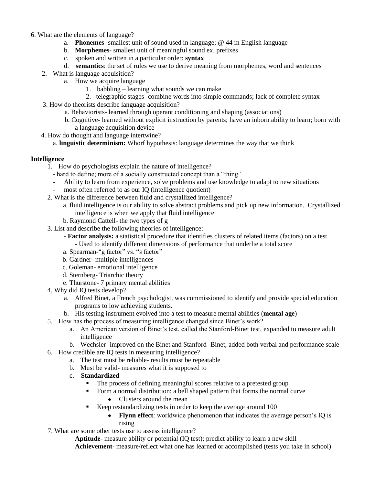- 6. What are the elements of language?
	- a. **Phonemes** smallest unit of sound used in language; @ 44 in English language
	- b. **Morphemes** smallest unit of meaningful sound ex. prefixes
	- c. spoken and written in a particular order: **syntax**
	- d. **semantics**: the set of rules we use to derive meaning from morphemes, word and sentences
	- 2. What is language acquisition?
		- a. How we acquire language
			- 1. babbling learning what sounds we can make
			- 2. telegraphic stages- combine words into simple commands; lack of complete syntax
	- 3. How do theorists describe language acquisition?
		- a. Behaviorists- learned through operant conditioning and shaping (associations)
		- b. Cognitive- learned without explicit instruction by parents; have an inborn ability to learn; born with a language acquisition device
	- 4. How do thought and language intertwine?
		- a. **linguistic determinism:** Whorf hypothesis: language determines the way that we think

## **Intelligence**

- 1. How do psychologists explain the nature of intelligence?
	- hard to define; more of a socially constructed concept than a "thing"
	- Ability to learn from experience, solve problems and use knowledge to adapt to new situations
	- most often referred to as our IQ (intelligence quotient)
- 2. What is the difference between fluid and crystallized intelligence?
	- a. fluid intelligence is our ability to solve abstract problems and pick up new information. Crystallized intelligence is when we apply that fluid intelligence
	- b. Raymond Cattell- the two types of g
- 3. List and describe the following theories of intelligence:
	- **Factor analysis:** a statistical procedure that identifies clusters of related items (factors) on a test - Used to identify different dimensions of performance that underlie a total score
	- a. Spearman-"g factor" vs. "s factor"
	- b. Gardner- multiple intelligences
	- c. Goleman- emotional intelligence
	- d. Sternberg- Triarchic theory
	- e. Thurstone- 7 primary mental abilities
- 4. Why did IQ tests develop?
	- a. Alfred Binet, a French psychologist, was commissioned to identify and provide special education programs to low achieving students.
	- b. His testing instrument evolved into a test to measure mental abilities (**mental age**)
- 5. How has the process of measuring intelligence changed since Binet's work?
	- a. An American version of Binet's test, called the Stanford-Binet test, expanded to measure adult intelligence
	- b. Wechsler- improved on the Binet and Stanford- Binet; added both verbal and performance scale
- 6. How credible are IQ tests in measuring intelligence?
	- a. The test must be reliable- results must be repeatable
	- b. Must be valid- measures what it is supposed to
	- c. **Standardized**
		- The process of defining meaningful scores relative to a pretested group
			- Form a normal distribution: a bell shaped pattern that forms the normal curve
				- Clusters around the mean
			- Keep restandardizing tests in order to keep the average around 100
				- **Flynn effect**: worldwide phenomenon that indicates the average person's IQ is rising
- 7. What are some other tests use to assess intelligence?

**Aptitude**- measure ability or potential (IQ test); predict ability to learn a new skill **Achievement**- measure/reflect what one has learned or accomplished (tests you take in school)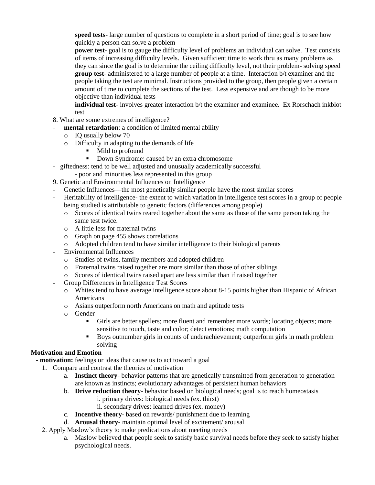**speed tests**- large number of questions to complete in a short period of time; goal is to see how quickly a person can solve a problem

**power test-** goal is to gauge the difficulty level of problems an individual can solve. Test consists of items of increasing difficulty levels. Given sufficient time to work thru as many problems as they can since the goal is to determine the ceiling difficulty level, not their problem- solving speed **group test-** administered to a large number of people at a time. Interaction b/t examiner and the people taking the test are minimal. Instructions provided to the group, then people given a certain amount of time to complete the sections of the test. Less expensive and are though to be more objective than individual tests

**individual test-** involves greater interaction b/t the examiner and examinee. Ex Rorschach inkblot test

- 8. What are some extremes of intelligence?
- mental retardation: a condition of limited mental ability
	- o IQ usually below 70
	- o Difficulty in adapting to the demands of life
		- Mild to profound<br>• Down Syndrome:
		- Down Syndrome: caused by an extra chromosome
- giftedness: tend to be well adjusted and unusually academically successful
	- poor and minorities less represented in this group
- 9. Genetic and Environmental Influences on Intelligence
- Genetic Influences—the most genetically similar people have the most similar scores
- Heritability of intelligence- the extent to which variation in intelligence test scores in a group of people being studied is attributable to genetic factors (differences among people)
	- o Scores of identical twins reared together about the same as those of the same person taking the same test twice.
	- o A little less for fraternal twins
	- o Graph on page 455 shows correlations
	- o Adopted children tend to have similar intelligence to their biological parents
- Environmental Influences
	- o Studies of twins, family members and adopted children
	- o Fraternal twins raised together are more similar than those of other siblings
	- o Scores of identical twins raised apart are less similar than if raised together
	- Group Differences in Intelligence Test Scores
		- o Whites tend to have average intelligence score about 8-15 points higher than Hispanic of African Americans
		- o Asians outperform north Americans on math and aptitude tests
		- o Gender
			- Girls are better spellers; more fluent and remember more words; locating objects; more sensitive to touch, taste and color; detect emotions; math computation
			- Boys outnumber girls in counts of underachievement; outperform girls in math problem solving

## **Motivation and Emotion**

 **- motivation:** feelings or ideas that cause us to act toward a goal

- 1. Compare and contrast the theories of motivation
	- a. **Instinct theory** behavior patterns that are genetically transmitted from generation to generation are known as instincts; evolutionary advantages of persistent human behaviors
	- b. **Drive reduction theory** behavior based on biological needs; goal is to reach homeostasis
		- i. primary drives: biological needs (ex. thirst)
		- ii. secondary drives: learned drives (ex. money)
	- c. **Incentive theory** based on rewards/ punishment due to learning
	- d. **Arousal theory** maintain optimal level of excitement/ arousal
- 2. Apply Maslow's theory to make predications about meeting needs
	- a. Maslow believed that people seek to satisfy basic survival needs before they seek to satisfy higher psychological needs.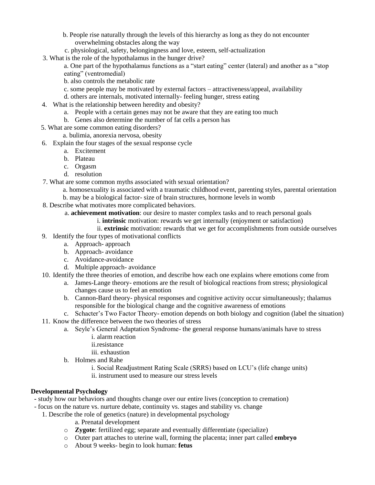- b. People rise naturally through the levels of this hierarchy as long as they do not encounter overwhelming obstacles along the way
- c. physiological, safety, belongingness and love, esteem, self-actualization
- 3. What is the role of the hypothalamus in the hunger drive?
	- a. One part of the hypothalamus functions as a "start eating" center (lateral) and another as a "stop eating" (ventromedial)
	- b. also controls the metabolic rate
	- c. some people may be motivated by external factors attractiveness/appeal, availability
	- d. others are internals, motivated internally- feeling hunger, stress eating
- 4. What is the relationship between heredity and obesity?
	- a. People with a certain genes may not be aware that they are eating too much
	- b. Genes also determine the number of fat cells a person has
- 5. What are some common eating disorders?
	- a. bulimia, anorexia nervosa, obesity
- 6. Explain the four stages of the sexual response cycle
	- a. Excitement
	- b. Plateau
	- c. Orgasm
	- d. resolution
- 7. What are some common myths associated with sexual orientation?
	- a. homosexuality is associated with a traumatic childhood event, parenting styles, parental orientation
	- b. may be a biological factor- size of brain structures, hormone levels in womb
- 8. Describe what motivates more complicated behaviors.
	- a. **achievement motivation**: our desire to master complex tasks and to reach personal goals
		- i. **intrinsic** motivation: rewards we get internally (enjoyment or satisfaction)
		- ii. **extrinsic** motivation: rewards that we get for accomplishments from outside ourselves
- 9. Identify the four types of motivational conflicts
	- a. Approach- approach
	- b. Approach- avoidance
	- c. Avoidance-avoidance
	- d. Multiple approach- avoidance
- 10. Identify the three theories of emotion, and describe how each one explains where emotions come from
	- a. James-Lange theory- emotions are the result of biological reactions from stress; physiological changes cause us to feel an emotion
	- b. Cannon-Bard theory- physical responses and cognitive activity occur simultaneously; thalamus responsible for the biological change and the cognitive awareness of emotions
	- c. Schacter's Two Factor Theory- emotion depends on both biology and cognition (label the situation)
- 11. Know the difference between the two theories of stress
	- a. Seyle's General Adaptation Syndrome- the general response humans/animals have to stress
		- i. alarm reaction
		- ii.resistance
		- iii. exhaustion
	- b. Holmes and Rahe
		- i. Social Readjustment Rating Scale (SRRS) based on LCU's (life change units)
		- ii. instrument used to measure our stress levels

## **Developmental Psychology**

- **-** study how our behaviors and thoughts change over our entire lives (conception to cremation)
- focus on the nature vs. nurture debate, continuity vs. stages and stability vs. change
	- 1. Describe the role of genetics (nature) in developmental psychology
		- a. Prenatal development
		- o **Zygote**: fertilized egg; separate and eventually differentiate (specialize)
		- o Outer part attaches to uterine wall, forming the placenta; inner part called **embryo**
		- o About 9 weeks- begin to look human: **fetus**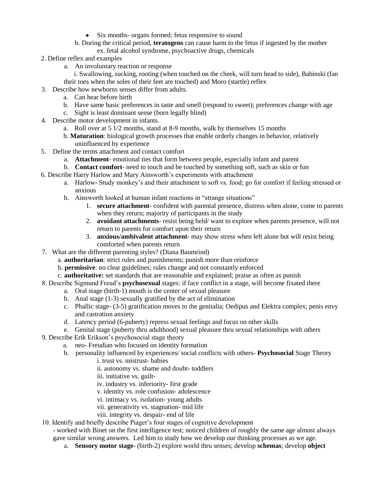- Six months- organs formed; fetus responsive to sound
- b. During the critical period, **teratogens** can cause harm to the fetus if ingested by the mother
	- ex. fetal alcohol syndrome, psychoactive drugs, chemicals
- 2. Define reflex and examples
	- a. An involuntary reaction or response
	- i. Swallowing, sucking, rooting (when touched on the cheek, will turn head to side), Babinski (fan their toes when the soles of their feet are touched) and Moro (startle) reflex
- 3. Describe how newborns senses differ from adults.
	- a. Can hear before birth
		- b. Have same basic preferences in taste and smell (respond to sweet); preferences change with age
		- c. Sight is least dominant sense (born legally blind)
- 4. Describe motor development in infants.
	- a. Roll over at 5 1/2 months, stand at 8-9 months, walk by themselves 15 months
	- b. **Maturation**: biological growth processes that enable orderly changes in behavior, relatively uninfluenced by experience
- 5. Define the terms attachment and contact comfort
	- a. **Attachment** emotional ties that form between people, especially infant and parent
	- b. **Contact comfort** need to touch and be touched by something soft, such as skin or fun
- 6. Describe Harry Harlow and Mary Ainsworth's experiments with attachment
	- a. Harlow- Study monkey's and their attachment to soft vs. food; go for comfort if feeling stressed or anxious
	- b. Ainsworth looked at human infant reactions in "strange situations"
		- 1. **secure attachment** confident with parental presence, distress when alone, come to parents when they return; majority of participants in the study
		- 2. **avoidant attachments** resist being held/ want to explore when parents presence, will not return to parents for comfort upon their return
		- 3. **anxious/ambivalent attachment** may show stress when left alone but will resist being comforted when parents return
- 7. What are the different parenting styles? (Diana Baumrind)
	- a. **authoritarian**: strict rules and punishments; punish more than reinforce
	- b. **permissive**: no clear guidelines; rules change and not constantly enforced
	- c. **authoritative:** set standards that are reasonable and explained; praise as often as punish
- 8. Describe Sigmund Freud's **psychosexual** stages: if face conflict in a stage, will become fixated there
	- a. Oral stage (birth-1) mouth is the center of sexual pleasure
	- b. Anal stage (1-3) sexually gratified by the act of elimination
	- c. Phallic stage- (3-5) gratification moves to the genitalia; Oedipus and Elektra complex; penis envy and castration anxiety
	- d. Latency period (6-puberty) repress sexual feelings and focus on other skills
	- e. Genital stage (puberty thru adulthood) sexual pleasure thru sexual relationships with others
- 9. Describe Erik Erikson's psychosocial stage theory
	- a. neo- Freudian who focused on identity formation
	- b. personality influenced by experiences/ social conflicts with others- **Psychosocial** Stage Theory
		- i. trust vs. mistrust- babies
		- ii. autonomy vs. shame and doubt- toddlers
		- iii. initiative vs. guilt-
		- iv. industry vs. inferiority- first grade
		- v. identity vs. role confusion- adolescence
		- vi. intimacy vs. isolation- young adults
		- vii. generativity vs. stagnation- mid life
		- viii. integrity vs. despair- end of life
- 10. Identify and briefly describe Piaget's four stages of cognitive development
	- worked with Binet on the first intelligence test; noticed children of roughly the same age almost always gave similar wrong answers. Led him to study how we develop our thinking processes as we age.
		- a. **Sensory motor stage** (birth-2) explore world thru senses; develop **schemas**; develop **object**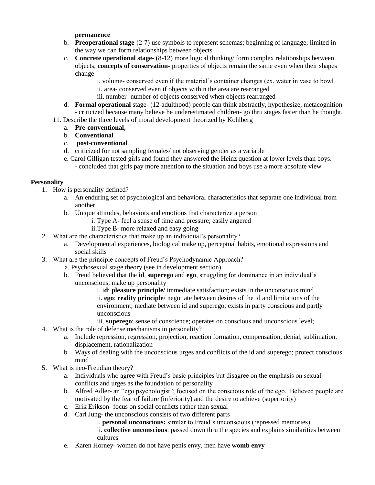**permanence**

- b. **Preoperational stage**-(2-7) use symbols to represent schemas; beginning of language; limited in the way we can form relationships between objects
- c. **Concrete operational stage** (8-12) more logical thinking/ form complex relationships between objects; **concepts of conservation-** properties of objects remain the same even when their shapes change

i. volume- conserved even if the material's container changes (ex. water in vase to bowl ii. area- conserved even if objects within the area are rearranged

- iii. number- number of objects conserved when objects rearranged
- d. **Formal operational** stage- (12-adulthood) people can think abstractly, hypothesize, metacognition - criticized because many believe he underestimated children- go thru stages faster than he thought.
- 11. Describe the three levels of moral development theorized by Kohlberg
	- a. **Pre-conventional,**
	- b. **Conventional**
	- c. **post**-**conventional**
	- d. criticized for not sampling females/ not observing gender as a variable
	- e. Carol Gilligan tested girls and found they answered the Heinz question at lower levels than boys. - concluded that girls pay more attention to the situation and boys use a more absolute view

## **Personality**

- 1. How is personality defined?
	- a. An enduring set of psychological and behavioral characteristics that separate one individual from another
	- b. Unique attitudes, behaviors and emotions that characterize a person
		- i. Type A- feel a sense of time and pressure; easily angered
			- ii.Type B- more relaxed and easy going
- 2. What are the characteristics that make up an individual's personality?
	- a. Developmental experiences, biological make up, perceptual habits, emotional expressions and social skills
- 3. What are the principle concepts of Freud's Psychodynamic Approach?
	- a. Psychosexual stage theory (see in development section)
	- b. Freud believed that the **id**, **superego** and **ego**, struggling for dominance in an individual's unconscious, make up personality

i. i**d**: **pleasure principle/** immediate satisfaction; exists in the unconscious mind ii. **ego**: **reality principle**/ negotiate between desires of the id and limitations of the environment; mediate between id and superego; exists in party conscious and partly unconscious

iii. **superego**: sense of conscience; operates on conscious and unconscious level;

- 4. What is the role of defense mechanisms in personality?
	- a. Include repression, regression, projection, reaction formation, compensation, denial, sublimation, displacement, rationalization
	- b. Ways of dealing with the unconscious urges and conflicts of the id and superego; protect conscious mind
- 5. What is neo-Freudian theory?
	- a. Individuals who agree with Freud's basic principles but disagree on the emphasis on sexual conflicts and urges as the foundation of personality
	- b. Alfred Adler- an "ego psychologist"; focused on the conscious role of the ego. Believed people are motivated by the fear of failure (inferiority) and the desire to achieve (superiority)
	- c. Erik Erikson- focus on social conflicts rather than sexual
	- d. Carl Jung- the unconscious consists of two different parts
		- i. **personal unconscious:** similar to Freud's unconscious (repressed memories)

ii. **collective unconscious**: passed down thru the species and explains similarities between cultures

e. Karen Horney- women do not have penis envy, men have **womb envy**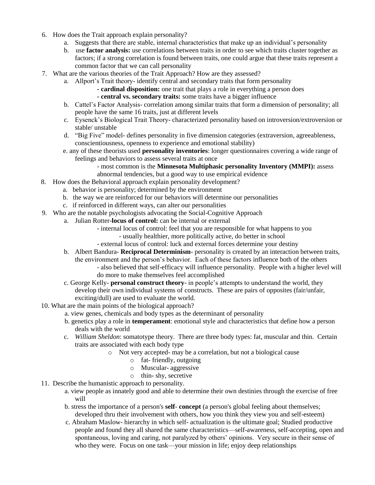- 6. How does the Trait approach explain personality?
	- a. Suggests that there are stable, internal characteristics that make up an individual's personality
	- b. use **factor analysis:** use correlations between traits in order to see which traits cluster together as factors; if a strong correlation is found between traits, one could argue that these traits represent a common factor that we can call personality
- 7. What are the various theories of the Trait Approach? How are they assessed?
	- a. Allport's Trait theory- identify central and secondary traits that form personality
		- **- cardinal disposition:** one trait that plays a role in everything a person does
		- **- central vs. secondary traits:** some traits have a bigger influence
	- b. Cattel's Factor Analysis- correlation among similar traits that form a dimension of personality; all people have the same 16 traits, just at different levels
	- c. Eysenck's Biological Trait Theory- characterized personality based on introversion/extroversion or stable/ unstable
	- d. "Big Five" model- defines personality in five dimension categories (extraversion, agreeableness, conscientiousness, openness to experience and emotional stability)
	- e. any of these theorists used **personality inventories**: longer questionnaires covering a wide range of feelings and behaviors to assess several traits at once
		- most common is the **Minnesota Multiphasic personality Inventory (MMPI):** assess
		- abnormal tendencies, but a good way to use empirical evidence
- 8. How does the Behavioral approach explain personality development?
	- a. behavior is personality; determined by the environment
	- b. the way we are reinforced for our behaviors will determine our personalities
	- c. if reinforced in different ways, can alter our personalities
- 9. Who are the notable psychologists advocating the Social-Cognitive Approach
	- a. Julian Rotter-**locus of control:** can be internal or external
		- internal locus of control: feel that you are responsible for what happens to you
			- usually healthier, more politically active, do better in school
		- external locus of control: luck and external forces determine your destiny
	- b. Albert Bandura- **Reciprocal Determinism** personality is created by an interaction between traits, the environment and the person's behavior. Each of these factors influence both of the others - also believed that self-efficacy will influence personality. People with a higher level will do more to make themselves feel accomplished
	- c. George Kelly- **personal construct theory** in people's attempts to understand the world, they develop their own individual systems of constructs. These are pairs of opposites (fair/unfair, exciting/dull) are used to evaluate the world.
- 10. What are the main points of the biological approach?
	- a. view genes, chemicals and body types as the determinant of personality
	- b. genetics play a role in **temperament**: emotional style and characteristics that define how a person deals with the world
	- c. *William Sheldon*: somatotype theory. There are three body types: fat, muscular and thin. Certain traits are associated with each body type
		- o Not very accepted- may be a correlation, but not a biological cause
			- o fat- friendly, outgoing
				- o Muscular- aggressive
				- o thin- shy, secretive
- 11. Describe the humanistic approach to personality.
	- a. view people as innately good and able to determine their own destinies through the exercise of free will
	- b. stress the importance of a person's **self concept** (a person's global feeling about themselves; developed thru their involvement with others, how you think they view you and self-esteem)
	- c. Abraham Maslow- hierarchy in which self- actualization is the ultimate goal; Studied productive people and found they all shared the same characteristics—self-awareness, self-accepting, open and spontaneous, loving and caring, not paralyzed by others' opinions. Very secure in their sense of who they were. Focus on one task—your mission in life; enjoy deep relationships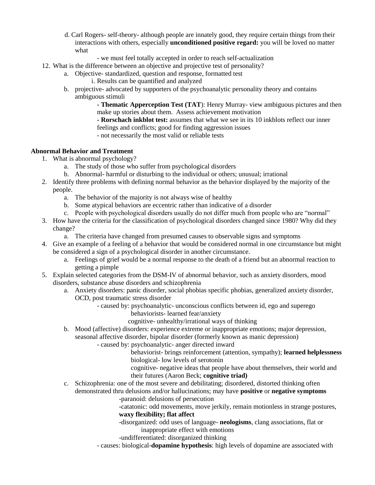- d. Carl Rogers- self-theory- although people are innately good, they require certain things from their interactions with others, especially **unconditioned positive regard:** you will be loved no matter what
	- we must feel totally accepted in order to reach self-actualization
- 12. What is the difference between an objective and projective test of personality?
	- a. Objective- standardized, question and response, formatted test
		- i. Results can be quantified and analyzed
	- b. projective- advocated by supporters of the psychoanalytic personality theory and contains ambiguous stimuli

**- Thematic Apperception Test (TAT**): Henry Murray- view ambiguous pictures and then make up stories about them. Assess achievement motivation

**- Rorschach inkblot test:** assumes that what we see in its 10 inkblots reflect our inner feelings and conflicts; good for finding aggression issues

- not necessarily the most valid or reliable tests

#### **Abnormal Behavior and Treatment**

- 1. What is abnormal psychology?
	- a. The study of those who suffer from psychological disorders
	- b. Abnormal- harmful or disturbing to the individual or others; unusual; irrational
- 2. Identify three problems with defining normal behavior as the behavior displayed by the majority of the people.
	- a. The behavior of the majority is not always wise of healthy
	- b. Some atypical behaviors are eccentric rather than indicative of a disorder
	- c. People with psychological disorders usually do not differ much from people who are "normal"
- 3. How have the criteria for the classification of psychological disorders changed since 1980? Why did they change?
	- a. The criteria have changed from presumed causes to observable signs and symptoms
- 4. Give an example of a feeling of a behavior that would be considered normal in one circumstance but might be considered a sign of a psychological disorder in another circumstance.
	- a. Feelings of grief would be a normal response to the death of a friend but an abnormal reaction to getting a pimple
- 5. Explain selected categories from the DSM-IV of abnormal behavior, such as anxiety disorders, mood disorders, substance abuse disorders and schizophrenia
	- a. Anxiety disorders: panic disorder, social phobias specific phobias, generalized anxiety disorder, OCD, post traumatic stress disorder
		- caused by: psychoanalytic- unconscious conflicts between id, ego and superego behaviorists- learned fear/anxiety
			- cognitive- unhealthy/irrational ways of thinking
	- b. Mood (affective) disorders: experience extreme or inappropriate emotions; major depression, seasonal affective disorder, bipolar disorder (formerly known as manic depression)
		- caused by: psychoanalytic- anger directed inward
			- behaviorist- brings reinforcement (attention, sympathy); **learned helplessness** biological- low levels of serotonin
			- cognitive- negative ideas that people have about themselves, their world and their futures (Aaron Beck; **cognitive triad)**
	- c. Schizophrenia: one of the most severe and debilitating; disordered, distorted thinking often demonstrated thru delusions and/or hallucinations; may have **positive** or **negative symptoms**
		- -paranoid: delusions of persecution
		- -catatonic: odd movements, move jerkily, remain motionless in strange postures, **waxy flexibility; flat affect**
		- -disorganized: odd uses of language- **neologisms**, clang associations, flat or inappropriate effect with emotions
		- -undifferentiated: disorganized thinking
		- causes: biological-**dopamine hypothesis**: high levels of dopamine are associated with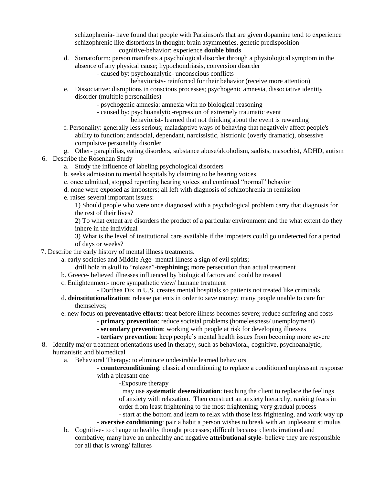schizophrenia- have found that people with Parkinson's that are given dopamine tend to experience schizophrenic like distortions in thought; brain asymmetries, genetic predisposition

#### cognitive-behavior: experience **double binds**

- d. Somatoform: person manifests a psychological disorder through a physiological symptom in the absence of any physical cause; hypochondriasis, conversion disorder
	- caused by: psychoanalytic- unconscious conflicts
		- behaviorists- reinforced for their behavior (receive more attention)
- e. Dissociative: disruptions in conscious processes; psychogenic amnesia, dissociative identity disorder (multiple personalities)
	- psychogenic amnesia: amnesia with no biological reasoning
	- caused by: psychoanalytic-repression of extremely traumatic event
		- behaviorist- learned that not thinking about the event is rewarding
- f. Personality: generally less serious; maladaptive ways of behaving that negatively affect people's ability to function; antisocial, dependant, narcissistic, histrionic (overly dramatic), obsessive compulsive personality disorder
- g. Other- paraphilias, eating disorders, substance abuse/alcoholism, sadists, masochist, ADHD, autism
- 6. Describe the Rosenhan Study
	- a. Study the influence of labeling psychological disorders
	- b. seeks admission to mental hospitals by claiming to be hearing voices.
	- c. once admitted, stopped reporting hearing voices and continued "normal" behavior
	- d. none were exposed as imposters; all left with diagnosis of schizophrenia in remission
	- e. raises several important issues:

1) Should people who were once diagnosed with a psychological problem carry that diagnosis for the rest of their lives?

2) To what extent are disorders the product of a particular environment and the what extent do they inhere in the individual

3) What is the level of institutional care available if the imposters could go undetected for a period of days or weeks?

- 7. Describe the early history of mental illness treatments.
	- a. early societies and Middle Age- mental illness a sign of evil spirits;
		- drill hole in skull to "release"-**trephining;** more persecution than actual treatment
	- b. Greece- believed illnesses influenced by biological factors and could be treated
	- c. Enlightenment- more sympathetic view/ humane treatment
		- Dorthea Dix in U.S. creates mental hospitals so patients not treated like criminals
	- d. **deinstitutionalization**: release patients in order to save money; many people unable to care for themselves;
	- e. new focus on **preventative efforts**: treat before illness becomes severe; reduce suffering and costs
		- **primary prevention**: reduce societal problems (homelessness/ unemployment)
		- **secondary prevention**: working with people at risk for developing illnesses
		- **tertiary prevention**: keep people's mental health issues from becoming more severe
- 8. Identify major treatment orientations used in therapy, such as behavioral, cognitive, psychoanalytic, humanistic and biomedical
	- a. Behavioral Therapy: to eliminate undesirable learned behaviors
		- **counterconditioning**: classical conditioning to replace a conditioned unpleasant response with a pleasant one
			- -Exposure therapy

 may use **systematic desensitization**: teaching the client to replace the feelings of anxiety with relaxation. Then construct an anxiety hierarchy, ranking fears in order from least frightening to the most frightening; very gradual process - start at the bottom and learn to relax with those less frightening, and work way up

- **aversive conditioning**: pair a habit a person wishes to break with an unpleasant stimulus
- b. Cognitive- to change unhealthy thought processes; difficult because clients irrational and combative; many have an unhealthy and negative **attributional style**- believe they are responsible for all that is wrong/ failures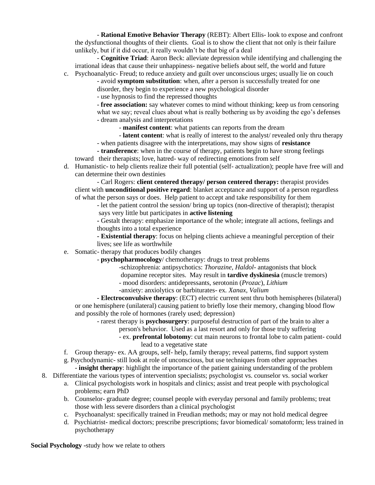- **Rational Emotive Behavior Therapy** (REBT): Albert Ellis- look to expose and confront the dysfunctional thoughts of their clients. Goal is to show the client that not only is their failure unlikely, but if it did occur, it really wouldn't be that big of a deal

- **Cognitive Triad**: Aaron Beck: alleviate depression while identifying and challenging the irrational ideas that cause their unhappiness- negative beliefs about self, the world and future c. Psychoanalytic- Freud; to reduce anxiety and guilt over unconscious urges; usually lie on couch

- avoid **symptom substitution**: when, after a person is successfully treated for one

disorder, they begin to experience a new psychological disorder

- use hypnosis to find the repressed thoughts

- **free association:** say whatever comes to mind without thinking; keep us from censoring what we say; reveal clues about what is really bothering us by avoiding the ego's defenses - dream analysis and interpretations

- **manifest content**: what patients can reports from the dream

- **latent content**: what is really of interest to the analyst/ revealed only thru therapy

- when patients disagree with the interpretations, may show signs of **resistance**

**- transference**: when in the course of therapy, patients begin to have strong feelings toward their therapists; love, hatred- way of redirecting emotions from self

d. Humanistic- to help clients realize their full potential (self- actualization); people have free will and can determine their own destinies

- Carl Rogers: **client centered therapy/ person centered therapy:** therapist provides client with **unconditional positive regard**: blanket acceptance and support of a person regardless of what the person says or does. Help patient to accept and take responsibility for them

- let the patient control the session/ bring up topics (non-directive of therapist); therapist says very little but participates in **active listening**

**-** Gestalt therapy: emphasize importance of the whole; integrate all actions, feelings and thoughts into a total experience

**- Existential therapy**: focus on helping clients achieve a meaningful perception of their lives; see life as worthwhile

- e. Somatic- therapy that produces bodily changes
	- **psychopharmocology**/ chemotherapy: drugs to treat problems
		- -schizophrenia: antipsychotics: *Thorazine, Haldol* antagonists that block
		- dopamine receptor sites. May result in **tardive dyskinesia** (muscle tremors)
		- mood disorders: antidepressants, serotonin (*Prozac*), *Lithium*
		- *-*anxiety: anxiolytics or barbiturates- ex*. Xanax, Valium*

**- Electroconvulsive therapy**: (ECT) electric current sent thru both hemispheres (bilateral) or one hemisphere (unilateral) causing patient to briefly lose their memory, changing blood flow and possibly the role of hormones (rarely used; depression)

- rarest therapy is **psychosurgery**: purposeful destruction of part of the brain to alter a

person's behavior. Used as a last resort and only for those truly suffering

- ex. **prefrontal lobotomy**: cut main neurons to frontal lobe to calm patient- could lead to a vegetative state
- f. Group therapy- ex. AA groups, self- help, family therapy; reveal patterns, find support system

g. Psychodynamic- still look at role of unconscious, but use techniques from other approaches

- **insight therapy**: highlight the importance of the patient gaining understanding of the problem 8. Differentiate the various types of intervention specialists; psychologist vs. counselor vs. social worker

- a. Clinical psychologists work in hospitals and clinics; assist and treat people with psychological problems; earn PhD
- b. Counselor- graduate degree; counsel people with everyday personal and family problems; treat those with less severe disorders than a clinical psychologist
- c. Psychoanalyst: specifically trained in Freudian methods; may or may not hold medical degree
- d. Psychiatrist- medical doctors; prescribe prescriptions; favor biomedical/ somatoform; less trained in psychotherapy

**Social Psychology -**study how we relate to others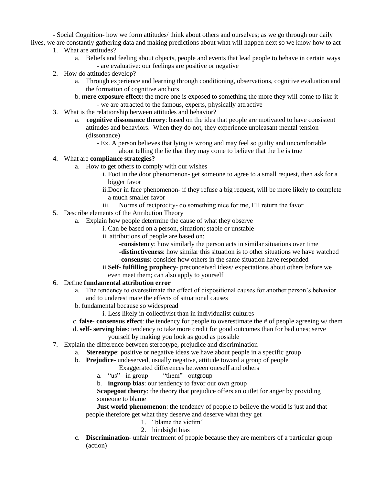- Social Cognition- how we form attitudes/ think about others and ourselves; as we go through our daily

lives, we are constantly gathering data and making predictions about what will happen next so we know how to act 1. What are attitudes?

- a. Beliefs and feeling about objects, people and events that lead people to behave in certain ways - are evaluative: our feelings are positive or negative
- 2. How do attitudes develop?
	- a. Through experience and learning through conditioning, observations, cognitive evaluation and the formation of cognitive anchors
	- b. **mere exposure effect:** the more one is exposed to something the more they will come to like it - we are attracted to the famous, experts, physically attractive
- 3. What is the relationship between attitudes and behavior?
	- a. **cognitive dissonance theory**: based on the idea that people are motivated to have consistent attitudes and behaviors. When they do not, they experience unpleasant mental tension (dissonance)
		- Ex. A person believes that lying is wrong and may feel so guilty and uncomfortable about telling the lie that they may come to believe that the lie is true

# 4. What are **compliance strategies?**

- a. How to get others to comply with our wishes
	- i. Foot in the door phenomenon- get someone to agree to a small request, then ask for a bigger favor
	- ii.Door in face phenomenon- if they refuse a big request, will be more likely to complete a much smaller favor
	- iii. Norms of reciprocity- do something nice for me, I'll return the favor
- 5. Describe elements of the Attribution Theory
	- a. Explain how people determine the cause of what they observe
		- i. Can be based on a person, situation; stable or unstable
		- ii. attributions of people are based on:
			- -**consistency**: how similarly the person acts in similar situations over time
			- -**distinctiveness**: how similar this situation is to other situations we have watched
			- -**consensus**: consider how others in the same situation have responded
		- ii.**Self- fulfilling prophecy** preconceived ideas/ expectations about others before we even meet them; can also apply to yourself

#### 6. Define **fundamental attribution error**

- a. The tendency to overestimate the effect of dispositional causes for another person's behavior and to underestimate the effects of situational causes
- b. fundamental because so widespread
	- i. Less likely in collectivist than in individualist cultures
- c. **false- consensus effect**: the tendency for people to overestimate the # of people agreeing w/ them
- d. **self- serving bias**: tendency to take more credit for good outcomes than for bad ones; serve

yourself by making you look as good as possible

- 7. Explain the difference between stereotype, prejudice and discrimination
	- a. **Stereotype**: positive or negative ideas we have about people in a specific group
	- b. **Prejudice** undeserved, usually negative, attitude toward a group of people

Exaggerated differences between oneself and others

- a.  $\text{``us''} = \text{in group}$   $\text{``them''} = \text{outgroup}$
- b. **ingroup bias**: our tendency to favor our own group

**Scapegoat theory**: the theory that prejudice offers an outlet for anger by providing someone to blame

**Just world phenomenon**: the tendency of people to believe the world is just and that people therefore get what they deserve and deserve what they get

- 1. "blame the victim"
- 2. hindsight bias
- c. **Discrimination** unfair treatment of people because they are members of a particular group (action)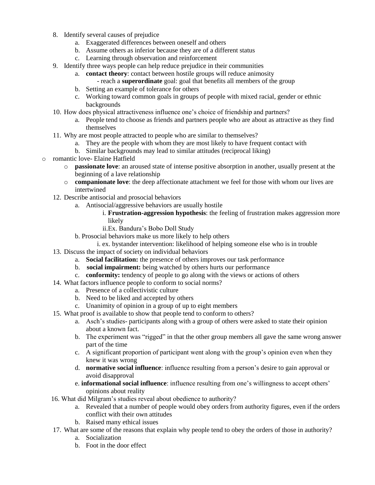- 8. Identify several causes of prejudice
	- a. Exaggerated differences between oneself and others
	- b. Assume others as inferior because they are of a different status
	- c. Learning through observation and reinforcement
- 9. Identify three ways people can help reduce prejudice in their communities
	- a. **contact theory**: contact between hostile groups will reduce animosity
		- reach a **superordinate** goal: goal that benefits all members of the group
	- b. Setting an example of tolerance for others
	- c. Working toward common goals in groups of people with mixed racial, gender or ethnic backgrounds
- 10. How does physical attractiveness influence one's choice of friendship and partners?
	- a. People tend to choose as friends and partners people who are about as attractive as they find themselves
- 11. Why are most people attracted to people who are similar to themselves?
	- a. They are the people with whom they are most likely to have frequent contact with
	- b. Similar backgrounds may lead to similar attitudes (reciprocal liking)
- o romantic love- Elaine Hatfield
	- o **passionate love**: an aroused state of intense positive absorption in another, usually present at the beginning of a lave relationship
	- o **companionate love**: the deep affectionate attachment we feel for those with whom our lives are intertwined
	- 12. Describe antisocial and prosocial behaviors
		- a. Antisocial/aggressive behaviors are usually hostile
			- i. **Frustration-aggression hypothesis**: the feeling of frustration makes aggression more likely
			- ii.Ex. Bandura's Bobo Doll Study
		- b. Prosocial behaviors make us more likely to help others
			- i. ex. bystander intervention: likelihood of helping someone else who is in trouble
	- 13. Discuss the impact of society on individual behaviors
		- a. **Social facilitation:** the presence of others improves our task performance
		- b. **social impairment:** being watched by others hurts our performance
		- c. **conformity:** tendency of people to go along with the views or actions of others
	- 14. What factors influence people to conform to social norms?
		- a. Presence of a collectivistic culture
		- b. Need to be liked and accepted by others
		- c. Unanimity of opinion in a group of up to eight members
	- 15. What proof is available to show that people tend to conform to others?
		- a. Asch's studies- participants along with a group of others were asked to state their opinion about a known fact.
		- b. The experiment was "rigged" in that the other group members all gave the same wrong answer part of the time
		- c. A significant proportion of participant went along with the group's opinion even when they knew it was wrong
		- d. **normative social influence**: influence resulting from a person's desire to gain approval or avoid disapproval
		- e. **informational social influence**: influence resulting from one's willingness to accept others' opinions about reality
	- 16. What did Milgram's studies reveal about obedience to authority?
		- a. Revealed that a number of people would obey orders from authority figures, even if the orders conflict with their own attitudes
		- b. Raised many ethical issues
	- 17. What are some of the reasons that explain why people tend to obey the orders of those in authority?
		- a. Socialization
		- b. Foot in the door effect